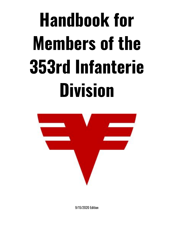# **Handbook for Members of the 353rd Infanterie Division**



9/15/2020 Edition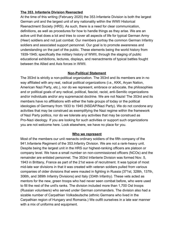## **The 353. Infanterie Division Reenacted**

At the time of this writing (February 2020) the 353.Infanterie Division is both the largest German unit and the largest unit of any nationality within the WWII Historical Reenactment Society (HRS). As such, there is a need for clear communication, definitions, as well as procedures for how to handle things as they arise. We are an active unit that does a lot and tries to cover all aspects of life for typical German Army (Heer) soldiers and not just combat. Our members portray the common German Infantry soldiers and associated support personnel. Our goal is to promote awareness and understanding on the part of the public. These elements being the world history from 1939-1945; specifically the military history of WWII, through the staging of public educational exhibitions, lectures, displays, and reenactments of typical battles fought between the Allied and Axis forces in WWII.

# **Non-Political Statement**

The 353rd is strictly a non-political organization. The 353rd and its members are in no way affiliated with any real, radical political organizations (i.e., KKK, Aryan Nation, American Nazi Party, etc.), nor do we represent, embrace or advocate, the philosophies and or political goals of any radical, political, fascist, racist, anti-Semitic organizations and/or individuals and/or any supremacist doctrine. We are not Nazis! The 353rd and its members have no affiliations with either the hate groups of today or the political ideologies of Germany from 1933 to 1945 (NSDAP/Nazi Party). We do not condone any activities that may be construed as exemplifying the Nazi regime within the framework of Nazi Party politics, nor do we tolerate any activities that may be construed as Pro-Nazi ideology. If you are looking for such activities or support such organizations you are not welcome here. Look elsewhere, we have no place for you.

#### **Who we represent**

Most of the members our unit reenacts ordinary soldiers of the fifth company of the 941.Infanterie Regiment of the 353.Infantry Division. We are not a rank-heavy unit. Despite being the largest unit in the HRS our highest-ranking officers are platoon or company level. We have a small number on non-commissioned officers (NCOs) and the remainder are enlisted personnel. The 353rd Infanterie Division was formed Nov. 5, 1943 in Brittany, France as part of the 21st wave of recruitment. It was typical of most mid-late war divisions in that it was created with veteran soldiers pulled from various companies of older divisions that were mauled in fighting in Russia (371st, 328th, 137th, 306th, and 389th Infantry Divisions) and Italy (334th Infantry). These vets acted as mentors for the new, green troops who had never seen combat before, who were used to fill the rest of the unit's ranks. The division included more than 1,700 Ost troops (Russian volunteers) who served under German commanders. The division also had a sizable number of Carpathian Volksdeutsche (ethnic Germans who lived in the Carpathian region of Hungary and Romania.) We outfit ourselves in a late war manner with a mix of uniforms and equipment.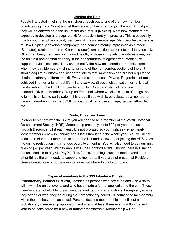## **Joining the Unit**

People interested in joining the unit should reach out to one of the new member coordinators *(Bill or Doug)* and let them know of their intent to join the unit. At that point, they will be entered onto the unit roster as a recruit **(Rekrut)**. Most new members are expected to develop and acquire a kit for a basic infantry impression. This is especially true for younger, physically-fit, members of military service age. Members below the age of 18 will typically develop a temporary, non-combat infantry impression as a medic (Sanitater), stretcher-bearer (Krankentraeger), ammunition carrier, etc until they turn 18. Older members, members not in good health, or those with particular interests may join the unit in a non-combat capacity in the headquarters, feldgendarme, medical, or support services sections. They should notify the new unit coordinator of this intent when they join. Members wishing to join one of the non-combat sections of the unit should acquire a uniform and kit appropriate to that impression and are not required to obtain an infantry uniform and kit. Everyone starts off as a Private. Regardless of rank achieved in other units or real-life military service. (Special dispensation for rank is at the discretion of the Unit Commander and Unit Command staff.) There is a 353rd Infanterie Division Members Group on Facebook where we discuss a lot of things. Ask to join. It is critical to participate in this group if you wish to participate as a member of the unit. Membership in the 353.ID is open to all regardless of age, gender, ethnicity, etc…

#### **Costs, Dues, and Fees**

In order to reenact with the 353rd you will need to be a member of the WWII Historical Re-enactment Society (HRS) Membership presently costs \$20 per year and lasts through December 31st each year. It is not prorated so you might as well join early. Most members renew in January and it lasts throughout the whole year. You will need to ask one of the unit members to share the link and password for joining the HRS since the online registration link changes every two months. You will also need to pay our unit dues of \$20 per year. We pay annually at the Rockford event. Though there is a link on the unit website to pay via PayPal. This fee covers things such as food, awards and other things the unit needs to support its members. If you are not present at Rockford please contact one of our leaders to figure out where to mail your dues.

#### **Types of members in the 353.Infanterie Division**

**Probationary Members (Rekrut):** defined as persons who pay dues and who wish to fall in with the unit at events and who have made a formal application to the unit. These members are not eligible to earn awards, rank, and commendations through any events they attend or work they do during their probationary period will count once membership within the unit has been achieved. Persons desiring membership must fill out a probationary membership application and attend at least three events within the first year to be considered for a new or transfer membership. Membership will be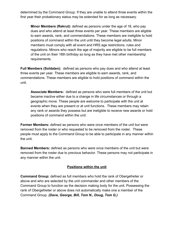determined by the Command Group. If they are unable to attend three events within the first year their probationary status may be extended for as long as necessary.

**Minor Members (Rekrut):** defined as persons under the age of 18, who pay dues and who attend at least three events per year. These members are eligible to earn awards, rank, and commendations. These members are ineligible to hold positions of command within the unit until they become legal adults. Minor members must comply with all event and HRS age restrictions, rules and regulations. Minors who reach the age of majority are eligible to be full members of the unit on their 18th birthday so long as they have met other membership requirements.

**Full Members (Soldaten):** defined as persons who pay dues and who attend at least three events per year. These members are eligible to earn awards, rank, and commendations. These members are eligible to hold positions of command within the unit.

**Associate Members:** defined as persons who were full members of the unit but became inactive either due to a change in life circumstances or through a geographic move. These people are welcome to participate with the unit at events when they are present or at unit functions. These members may retain any rank or awards they possess but are ineligible to receive new awards or hold positions of command within the unit.

**Former Members:** defined as persons who were once members of the unit but were removed from the roster or who requested to be removed from the roster. These people must apply to the Command Group to be able to participate in any manner within the unit.

**Banned Members:** defined as persons who were once members of the unit but were removed from the roster due to previous behavior. These persons may not participate in any manner within the unit.

# **Positions within the unit**

**Command Group:** defined as full members who hold the rank of Obergefreiter or above and who are selected by the unit commander and other members of the Command Group to function as the decision making body for the unit. Possessing the rank of Obergefreiter or above does not automatically make one a member of the Command Group. *(Dave, George, Bill, Tom N., Doug, Tom G.)*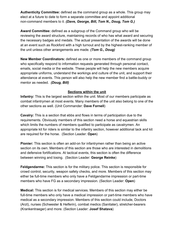**Authenticity Committee:** defined as the command group as a whole. This group may elect at a future to date to form a separate committee and appoint additional non-command members to it. *(Dave, George, Bill, Tom N., Doug, Tom G.)*

**Award Committee:** defined as a subgroup of the Command group who will be reviewing the award structure, maintaining records of who has what award and securing the necessary badges and medals. The actual presentation of the awards will be done at an event such as Rockford with a high turnout and by the highest-ranking member of the unit unless other arrangements are made. *(Tom G., Doug)*

**New Member Coordinators:** defined as one or more members of the command group who specifically respond to information requests generated through personal contact, emails, social media or the website. These people will help the new members acquire appropriate uniforms, understand the workings and culture of the unit, and support their attendance at events. This person will also help the new member find a battle-buddy or mentor as needed. *(Doug, Bill)*

#### **Sections within the unit**

**Infantry:** This is the largest section within the unit. Most of our members participate as combat infantrymen at most events. Many members of the unit also belong to one of the other sections as well. (Unit Commander: **Dave Fornell**)

**Cavalry:** This is a section that ebbs and flows in terms of participation due to the requirements. Obviously members of this section need a horse and equestrian skills which limits the numbers of members qualified to participate as cavalrymen. An appropriate kit for riders is similar to the infantry section, however additional tack and kit are required for the horse. (Section Leader: **Open**)

**Pionier:** This section is often an add-on for infantrymen rather than being an active section on its own. Members of this section are those who are interested in demolitions and defensive fortifications. At tactical events, this section is often the difference between winning and losing. (Section Leader: **George Reinke**)

**Feldgendarme:** This section is for the military police. This section is responsible for crowd control, security, weapon safety checks, and more. Members of this section may either be full-time members who only have a Feldgendarme impression or part-time members who have FG as a secondary impression. (Section Leader: **Open**)

**Medical:** This section is for medical services. Members of this section may either be full-time members who only have a medical impression or part-time members who have medical as a secondary impression. Members of this section could include, Doctors (Arzt), nurses (Schwester & Helferin), combat medics (Sanitater), stretcher-bearers (Krankentraeger) and more. (Section Leader: **Josef Shatava**)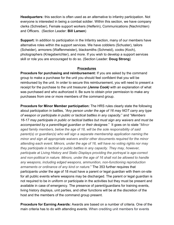**Headquarters:** this section is often used as an alternative to infantry participation. Not everyone is interested in being a combat soldier. Within this section, we have company clerks (Schreiber), Female support workers (Helferin), Communications (Nachrichten) and Officers. (Section Leader: **Bill Larsen**)

**Support:** In addition to participation in the Infantry section, many of our members have alternative roles within the support services. We have cobblers (Schuster), tailors (Scheider), armorers (Waffenmeister), blacksmiths (Schmeid), cooks (Koch), photographers (Kriegsberichter), and more. If you wish to develop a support services skill or role you are encouraged to do so. (Section Leader: **Doug Strong**)

#### **Procedures**

**Procedure for purchasing and reimbursement:** If you are asked by the command group to make a purchase for the unit you should feel confident that you will be reimbursed by the unit. In order to secure this reimbursement, you will need to present a receipt for the purchase to the unit treasurer *(Jenna Cook)* with an explanation of what was purchased and who authorized it. Be sure to obtain prior permission to make any purchases from one or more members of the command group.

**Procedure for Minor Member participation:** The HRS rules clearly state the following about participation in battles, *"Any person under the age of 16 may NOT carry any type of weapon or participate in public or tactical battles in any capacity*." and "*Members 16-17 may participate in public or tactical battles but must sign any waivers and must be accompanied by a parent/legal guardian or their designee*." It goes on to state "*Minor aged family members, below the age of 18, will be the sole responsibility of said parent(s) or guardian(s) who will sign a separate membership application naming the minor and sign all appropriate waivers and/or other documents required for the minor attending each event. Minors, under the age of 16, will have no voting rights nor may they participate in tactical or public battles in any capacity. They may, however, participate at Living History and Static Displays providing the portrayal is age-correct and non-political in nature. Minors, under the age of 16 shall not be allowed to handle any weapons, including edged weapons, ammunition, non-functioning reproduction armaments or ordinance of any kind or nature*." The 353 further requires that participants under the age of 18 must have a parent or legal guardian with them on-site for all public events where weapons may be discharged. The parent or legal guardian is not required to be in uniform or participate in the activities but they must be present and available in case of emergency. The presence of parent/guardians for training events, living history displays, unit parties, and other functions will be at the discretion of the host and the members of the command group present.

**Procedure for Earning Awards:** Awards are based on a number of criteria. One of the main criteria has to do with attending events. When crediting unit members for events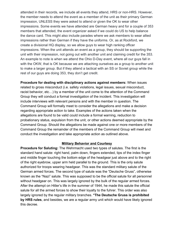attended in their records, we include all events they attend, HRS or non-HRS. However, the member needs to attend the event as a member of the unit as their primary German impression, UNLESS they were asked to attend or given the OK to wear other impressions. Some events we have attended are German heavy and for a couple of 353 members that attended, the event organizer asked if we could do US to help balance the dance card. This might also include parades where we ask members to wear allied impressions rather than German if they have the uniforms. Or, as at Rockford, we create a divisional HQ display, so we allow guys to wear high ranking officer impressions. When the unit attends an event as a group, they should be supporting the unit with their impression, not going out with another unit and claiming credit for the 353. An example to note is when we attend the Ohio D-Day event, where all our guys fall in with the OKW, that is OK because we are attaching ourselves as a group to another unit to make a larger group. But if they attend a tactical with an SS or Soviet group while the rest of our guys are doing 353, they don't get credit.

**Procedure for dealing with disciplinary actions against members:** When issues related to gross misconduct (i.e. safety violations, legal issues, sexual misconduct, racist behavior, etc…) by a member of the unit come to the attention of the Command Group they will conduct a formal investigation of the incident. This investigation will include interviews with relevant persons and with the member in question. The Command Group will formally meet to consider the allegations and make a decision regarding appropriate action to take. Examples of the actions taken when the allegations are found to be valid could include a formal warning, reduction to probationary status, expulsion from the unit, or other actions deemed appropriate by the Command Group. Should the allegations be made against one or more members of the Command Group the remainder of the members of the Command Group will meet and conduct the investigation and take appropriate action as outlined above.

#### **Military Behavior and Courtesy**

**Procedure for Saluting:** The Wehrmacht used two types of salutes. The first is the standard hand salute: right hand, palm down, fingers extended, tips of the index finger and middle finger touching the bottom edge of the headgear just above and to the right of the right eyebrow, upper arm held parallel to the ground. This is the only salute authorized for troops wearing headgear. This was the standard military salute of the German armed forces. The second type of salute was the "Deutsche Gruss", otherwise known as the "Nazi" salute. This was supposed to be the official salute for all personnel without headgear on. This was largely ignored by the bulk of the regular armed forces. After the attempt on Hitler's life in the summer of 1944, he made this salute the official salute for all the armed forces to show their loyalty to the fuhrer. This order was also largely ignored by the regular military branches. **\*The Deutsche Gruss is prohibited by HRS rules**, and besides, we are a regular army unit which would have likely ignored this decree.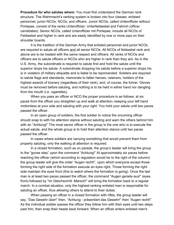**Procedure for who salutes whom:** You must first understand the German rank structure. The Wehrmacht's ranking system is broken into four classes: enlisted personnel, junior NCOs, NCOs, and officers. Junior NCOs, called Unteroffizier without Portepee, consist of the ranks Unteroffizier, Unterfeldwebel and Fahrich (officer candidates). Senior NCOs, called Unteroffizier mit Portepee, include all NCOs of Feldwebel and higher in rank and are easily identified by one or more pips on their shoulder boards.

It is the tradition of the German Army that enlisted personnel and junior NCOs are required to salute all officers and all senior NCOs. All NCOs of feldwebel rank and above are to be treated with the same respect and officers. All ranks of NCOs and officers are to salute officers or NCOs who are higher in rank than they are. As in the U.S. Army, the subordinate is required to salute first and hold the salute until the superior drops his salute. A subordinate dropping his salute before a superior drops his is in violation of military etiquette and is liable to be reprimanded. Soldiers are required to salute flags and standards, memorials to fallen heroes, veterans, holders of the highest awards of bravery (regardless of their rank), and, of course, the fuhrer. Gloves must be removed before saluting, and nothing is to be held in either hand nor dangling from the mouth (i.e. cigarettes).

When you pass an officer or NCO the proper procedure is as follows: at six paces from the officer you straighten up and walk at attention, keeping your left hand motionless at your side and saluting with your right. You hold your salute until two paces passed the officer.

In an open group of soldiers, the first soldier to notice the oncoming officer should snap to with his attention stance without saluting and warn the others behind him with an "Achtung!" The most senior officer in the group is the one who is to execute the actual salute, and the whole group is to hold their attention stance until two paces passed the officer.

In cases where soldiers are carrying something that would prevent them from properly saluting, only the walking at attention is required.

In a closed formation, such as on parade, the group's leader will bring the group to the "goose step" upon the command "Achtung!" At approximately six paces before reaching the officer (which according to regulation would be to the right of the column) the group leader will give the order "Augen recht!", upon which everyone except those forming the right side of the formation execute an eyes right, Those forming the right side maintain the eyes front (this to watch where the formation is going). Once the last man is at least two paces passed the officer, the command "Augen gerade aus!" (eyes front) followed by "Im Gleichschritt -Marsch!" will bring the formation back to a regular march. In a combat situation, only the highest-ranking enlisted man is responsible for saluting an officer, thus allowing others to attend to their duties.

When passing an officer in a closed formation with rifles, the group leader will say, "Das Gewehr über!" then, "Achtung - präsentiert das Gewehr!" then "Augen recht!" As the individual soldier passes the officer they follow him with their eyes until two steps past him, then snap their heads back forward. When an officer enters enlisted men's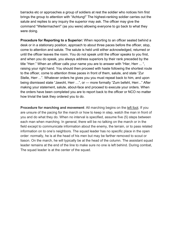barracks etc or approaches a group of soldiers at rest the soldier who notices him first brings the group to attention with "Achtung!" The highest-ranking soldier carries out the salute and replies to any inquiry the superior may ask. The officer may give the command "Weitermachen!" (as you were) allowing everyone to go back to what they were doing.

**Procedure for Reporting to a Superior:** When reporting to an officer seated behind a desk or in a stationary position, approach to about three paces before the officer, stop, come to attention and salute. The salute is held until either acknowledged, returned or until the officer leaves the room. You do not speak until the officer speaks to you first, and when you do speak, you always address superiors by their rank preceded by the title "Herr." When an officer calls your name you are to answer with "Hier, Herr ... ", raising your right hand. You should then proceed with haste following the shortest route to the officer, come to attention three paces in front of them, salute, and state "Zur Stelle, Herr ...". Whatever orders he gives you you must repeat back to him, and upon being dismissed state "Jawohl, Herr …", or — more formally "Zum befehl, Herr..." After making your statement, salute, about-face and proceed to execute your orders. When the orders have been completed you are to report back to the officer or NCO no matter how trivial the task they ordered you to do.

**Procedure for marching and movement:** All marching begins on the left foot. If you are unsure of the pacing for the march or how to keep in step, watch the man in front of you and do what they do. When no interval is specified, assume five (5) steps between each man when marching. In general, there will be no talking on the march or in the field except to communicate information about the enemy, the terrain, or to pass related information on to one's neighbors. The squad leader has no specific place in the open order: normally, he is at the head of his men but may be farther removed to scout or liason. On the march, he will typically be at the head of the column. The assistant squad leader remains at the end of the line to make sure no one is left behind. During combat, The squad leader is at the center of the squad.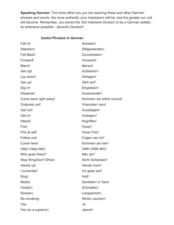**Speaking German:** The more effort you put into learning these and other German phrases and words, the more authentic your impression will be, and the greater our unit will become. Remember, you joined the 353 Infanterie Division to be a German soldier, so whenever possible-- *Spreche Deutsch!*

# **Useful Phrases in German**

| Fall In!                | Antreten!                 |
|-------------------------|---------------------------|
| Attention!              | Stillgestanden!           |
| <b>Fall Back!</b>       | Zurucktreten!             |
| Forward!                | Vorwarts!                 |
| March                   | Marsch                    |
| Get Up!                 | Aufstehen!                |
| Lay down!               | Hinlegen!                 |
| Get up!                 | Steh auf!                 |
| Dig in!                 | Eingraben!                |
| Disperse!               | Auseinander!              |
| Come back right away!   | Kommen sie sofort zurück! |
| Outposts out!           | Vorposten raus!           |
| Get out!                | Aussteigen!               |
| Get in!                 | Insteigen!                |
| Attack!                 | Angriffen!                |
| Fire!                   | Feuer!                    |
| Fire at will!           | <b>Feuer Frei!</b>        |
| Follow me!              | Folgen sie mir!           |
| Come here!              | Kommen sie hier!          |
| Help! (Help Me!)        | Hilfe! (Hilfe Mir!)       |
| Who goes there?         | Wer da?                   |
| Stop firing/Don't Shoot | <b>Nicht Schiessen!</b>   |
| Hands up!               | Hande hoch!               |
| I surrender!            | Ich gebe auf!             |
| Stop!                   | Halt!                     |
| Medic!                  | Sanitater! or Sani!       |
| Fast(er)                | Schnell(er)               |
| Slow(er)                | Langsam(er)               |
| No smoking!             | Nichts rauchen!           |
| Yes                     | Ja                        |
| Yes (to a superior)     | Jawohl                    |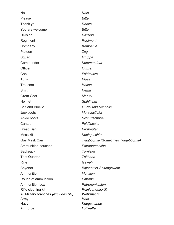No *Nein* Please *Bitte* Thank you *Danke* You are welcome *Bitte* Division *Division* Regiment *Regiment* Company *Kompanie* Platoon *Zug* Squad *Gruppe* Commander *Kommandeur* Officer *Offizier* Cap *Feldmütze* Tunic *Bluse* Trousers *Hosen* Shirt *Hemd* Great Coat *Mantel* Helmet *Stahlhelm* Belt and Buckle *Gürtel und Schnalle* Jackboots *Marschstiefel* Ankle boots *Schnürschuhe* Canteen *Feldflasche* Bread Bag *Brotbeutel* Mess kit *Kochgeschirr* Gas Mask Can *Tragbüchse (*Sometimes *Tragebüchse)* Ammunition pouches *Patronentasche* Backpack *Tornister* Tent Quarter *Zeltbahn* Rifle *Gewehr* Bayonet *Bajonett* or *Seitengewehr* Ammunition *Munition* Round of ammunition *Patrone* Ammunition box *Patronenkasten* Rifle cleaning kit *Reinigungsgerät* All Military branches *(excludes SS) Wehrmacht* Army *Heer* Navy *Kriegsmarine* Air Force *Luftwaffe*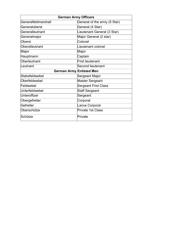| <b>German Army Officers</b>     |                              |  |
|---------------------------------|------------------------------|--|
| Generalfeldmarshall             | General of the army (5 Star) |  |
| Generaloberst                   | General (4 Star)             |  |
| Generalleutnant                 | Lieutenant General (3 Star)  |  |
| Generalmajor                    | Major General (2 star)       |  |
| Oberst                          | Colonel                      |  |
| Oberstleutnant                  | Lieutenant colonel           |  |
| Major                           | Major                        |  |
| Hauptmann                       | Captain                      |  |
| Oberleutnant                    | <b>First lieutenant</b>      |  |
| Leutnant                        | <b>Second lieutenant</b>     |  |
| <b>German Army Enlisted Men</b> |                              |  |
| Stabsfeldwebel                  | Sergeant Major               |  |
| Oberfeldwebel                   | <b>Master Sergeant</b>       |  |
| Feldwebel                       | <b>Sergeant First Class</b>  |  |
| Unterfeldwebel                  | <b>Staff Sergeant</b>        |  |
| Unteroffizer                    | Sergeant                     |  |
| Obergefreiter                   | Corporal                     |  |
| Gefreiter                       | Lance Corporal               |  |
| Oberschütze                     | <b>Private 1st Class</b>     |  |
| Schütze                         | Private                      |  |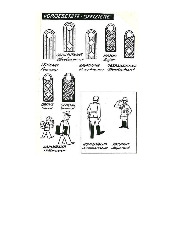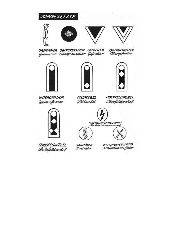

GRENADIER OBERGRENADIER GEFREITER Grenadier Obergrenadier Gefreiter 0BERGEFREITER<br>*Obergefreiter* 







FELDWEBEL Feldwebel

**OBERFELDWEBEL** *Oberfeldwebel* 





**STABSFELDWEBEL** Aabsfeldwebel

SANITÄTER<br>Samitäter

**WAFFENUNTEROFFIZIER** waffenunkroffinier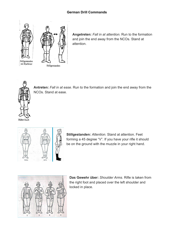

**Angetreten:** *Fall in at attention*. Run to the formation and join the end away from the NCOs. Stand at attention.



**Antreten:** *Fall in at ease*. Run to the formation and join the end away from the NCOs. Stand at ease.



**Stillgestanden:** *Attention.* Stand at attention. Feet forming a 45 degree "V". If you have your rifle it should be on the ground with the muzzle in your right hand.



**Das Gewehr über:** *Shoulder Arms.* Rifle is taken from the right foot and placed over the left shoulder and locked in place.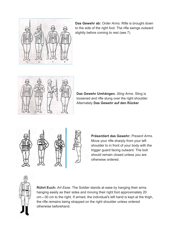

**Das Gewehr ab:** *Order Arms.* Rifle is brought down to the side of the right foot. The rifle swings outward slightly before coming to rest (see 7).



**Das Gewehr Umhängen.** *Sling Arms.* Sling is loosened and rifle slung over the right shoulder. Alternately **Das Gewehr auf den Rücker**





**Präsentiert das Gewehr:** *Present Arms.* Move your rifle sharply from your left shoulder to in front of your body with the trigger guard facing outward. The bolt should remain closed unless you are otherwise ordered.



**Rührt Euch:** *Art Ease.* The Soldier stands at ease by hanging their arms hanging easily as their sides and moving their right foot approximately 20 cm—30 cm to the right. If armed, the individual's left hand is kept at the thigh, the rifle remains being strapped on the right shoulder unless ordered otherwise beforehand.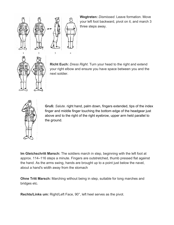

3

**Wegtreten:** *Dismissed*. Leave formation. Move your left foot backward, pivot on it, and march 3 three steps away.



**Richt Euch:** *Dress Right*. Turn your head to the right and extend your right elbow and ensure you have space between you and the next soldier.



**Gruß:** *Salute.* right hand, palm down, fingers extended, tips of the index finger and middle finger touching the bottom edge of the headgear just above and to the right of the right eyebrow, upper arm held parallel to the ground.

**Im Gleichschritt Marsch:** The soldiers march in step, beginning with the left foot at approx. 114–116 steps a minute. Fingers are outstretched, thumb pressed flat against the hand. As the arms swing, hands are brought up to a point just below the navel, about a hand's width away from the stomach

**Ohne Tritt Marsch:** Marching without being in step, suitable for long marches and bridges etc.

**Rechts/Links um:** Right/Left Face, 90°, left heel serves as the pivot.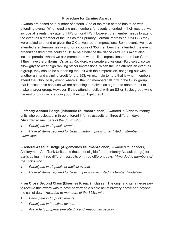# **Procedure for Earning Awards**

 Awards are based on a number of criteria. One of the main criteria has to do with attending events. When crediting unit members for events attended in their records, we include all events they attend, HRS or non-HRS. However, the member needs to attend the event as a member of the unit as their primary German impression, UNLESS they were asked to attend or given the OK to wear other impressions. Some events we have attended are German heavy and for a couple of 353 members that attended, the event organizer asked if we could do US to help balance the dance card. This might also include parades where we ask members to wear allied impressions rather than German if they have the uniforms. Or, as at Rockford, we create a divisional HQ display, so we allow guys to wear high ranking officer impressions. When the unit attends an event as a group, they should be supporting the unit with their impression, not going out with another unit and claiming credit for the 353. An example to note that is when members attend the Ohio D-Day event, where all the unit members fall in with the OKW group, that is acceptable because we are attaching ourselves as a group to another unit to make a larger group. However, if they attend a tactical with an SS or Soviet group while the rest of our guys are doing 353, they don't get credit.

**- Infantry Assault Badge (Infanterie Sturmabzeichen)**. Awarded in Silver to infantry units who participated in three different infantry assaults on three different days. *\*Awarded to members of the 353rd who:*

*1. Participate in 12 public events.*

*2. Have all items required for basic infantry impression as listed in Member Guidelines.*

 **-General Assault Badge (Allgemeines Sturmabzeichen).** Awarded to Pioneers, Artillerymen, Anti-Tank Units, and those not eligible for the Infantry Assault badge) for participating in three different assaults on three different days. *\*Awarded to members of the 353rd who:*

- *1. Participate in 12 public or tactical events.*
- *2. Have all items required for basic impression as listed in Member Guidelines.*

**-Iron Cross Second Class (Eisernes Kreuz 2. Klasse).** The original criteria necessary to receive this award was to have performed a single act of bravery above and beyond the call of duty. *\*Awarded to members of the 353rd who:*

- *1. Participate in 15 public events.*
- *2. Participate in 3 tactical events.*
- *3. Are able to properly execute drill and weapon inspection.*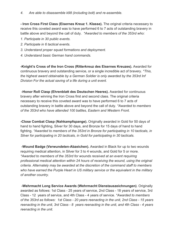**- Iron Cross First Class (Eisernes Kreuz 1. Klasse).** The original criteria necessary to receive this coveted award was to have performed 6 to 7 acts of outstanding bravery in battle above and beyond the call of duty. *\*Awarded to members of the 353rd who:*

- *1. Participate in 30 public events.*
- *2. Participate in 6 tactical events.*
- *3. Understand proper squad formations and deployment.*
- *4. Understand basic German hand commands.*

**-Knight's Cross of the Iron Cross (Ritterkreuz des Eisernes Kreuzes).** Awarded for continuous bravery and outstanding service, or a single incredible act of bravery. *\*This, the highest award obtainable by a German Soldier is only awarded by the 353rd Inf Division For the actual saving of a life during a unit event.*

**-Honor Roll Clasp (Ehrenblatt des Deutschen Heeres).** Awarded for continuous bravery after winning the Iron Cross first and second class. The original criteria necessary to receive this coveted award was to have performed 6 to 7 acts of outstanding bravery in battle above and beyond the call of duty. *\*Awarded to members of the 353rd who have attended 100 battles, Eastern and Western Front.*

**-Close Combat Clasp (Nahkampfspange).** Originally awarded in Gold for 50 days of hand to hand fighting, Silver for 30 days, and Bronze for 15 days of hand to hand fighting. *\*Awarded to members of the 353rd in Bronze for participating in 10 tacticals, in Silver for participating in 20 tacticals, in Gold for participating in 30 tacticals.*

 **-Wound Badge (Verwundeten-Abzeichen).** Awarded in Black for up to two wounds requiring medical attention, in Silver for 3 to 4 wounds, and Gold for 5 or more. *\*Awarded to members of the 353rd for wounds received at an event requiring professional medical attention within 24 hours of receiving the wound, using the original criteria. Alternately may be awarded at the discretion of the command staff to members who have earned the Purple Heart in US military service or the equivalent in the military of another country.*

 **-Wehrmacht Long Service Awards (Wehrmacht Dienstauszeichnungen)**. Originally awarded as follows: 1st Class - 25 years of service, 2nd Class - 18 years of service, 3rd Class - 12 years of service, and 4th Class - 4 years of service. *\*Awarded to members of the 353rd as follows: 1st Class - 20 years reenacting in the unit, 2nd Class - 15 years reenacting in the unit, 3rd Class - 8 years reenacting in the unit, and 4th Class - 4 years reenacting in the unit.*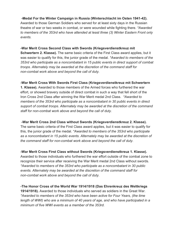### **-Medal For the Winter Campaign in Russia (Winterschlacht im Osten 1941-42).**

Awarded to those German Soldiers who served for at least sixty days in the Russian theatre of war or two weeks in combat, or were wounded while fighting there. *\*Awarded to members of the 353rd who have attended at least three (3) Winter Eastern Front only events.*

## **-War Merit Cross Second Class with Swords (Kriegsverdienstkreuz mit**

**Schwertern 2. Klasse).** The same basic criteria of the First Class award applies, but it was easier to qualify for this, the junior grade of the medal. *\*Awarded to members of the 353rd who participate as a noncombatant in 15 public events in direct support of combat troops. Alternately may be awarded at the discretion of the command staff for non-combat work above and beyond the call of duty.*

## **-War Merit Cross With Swords First Class (Kriegsverdienstkreuz mit Schwertern**

**1. Klasse).** Awarded to those members of the Armed forces who furthered the war effort, or showed bravery outside of direct combat in such a way that fell short of the Iron Cross 2nd Class after winning the War Merit medal 2nd Class. *\*Awarded to members of the 353rd who participate as a noncombatant in 30 public events in direct support of combat troops. Alternately may be awarded at the discretion of the command staff for non-combat work above and beyond the call of duty.*

#### **-War Merit Cross 2nd Class without Swords (Kriegsverdienstkreuz 2. Klasse).**

The same basic criteria of the First Class award applies, but it was easier to qualify for this, the junior grade of the medal. *\*Awarded to members of the 353rd who participate as a noncombatant in 15 public events. Alternately may be awarded at the discretion of the command staff for non-combat work above and beyond the call of duty.*

# **-War Merit Cross First Class without Swords (Kriegsverdienstkreuz 1. Klasse).**

Awarded to those individuals who furthered the war effort outside of the combat zone to recognize their service after receiving the War Merit medal 2nd Class without swords. *\*Awarded to members of the 353rd who participate as a noncombatant in 30 public events. Alternately may be awarded at the discretion of the command staff for non-combat work above and beyond the call of duty.*

## **-The Honor Cross of the World War 1914/1918 (Das Ehrenkreuz des Weltkriegs 1914/1918).** Awarded to those individuals who served as soldiers in the Great War. *\*Awarded to members of the 353rd who have been active for Four Years, (the time length of WWI) who are a minimum of 40 years of age, and who have participated in a minimum of five WWI events as a member of the 353rd.*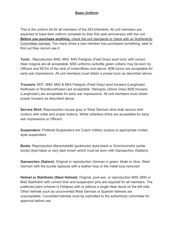# **Basic Uniform**

This is the uniform kit for all members of the 353.Infanterie. All unit members are expected to have their uniform complete by their first year anniversary with the unit. **Before you purchase anything**, check the unit standards or check with an Authenticity Committee member. Too many times a new member has purchased something, later to find out they cannot use it.

**Tunic:** Reproduction M40, M42, M43 Feldgrau (Field Gray) wool tunic with correct Heer insignia are all acceptable. M36 uniforms (w/bottle green collars) may be worn by Officers and NCOs of the rank of Unteroffizier and above. M36 tunics are acceptable for early war impressions. All unit members must obtain a proper tunic as described above.

**Trousers:** M37, M40, M42 & M43 Feldgrau (Field Gray) wool trousers (Langhosen Keilhosen or Rundbundhosen) are acceptable. Steingrau (Stone Gray) M36 trousers (Langhosen) are acceptable for early war impressions. All unit members must obtain proper trousers as described above.

**Service Shirt:** Reproduction mouse gray or West German olive drab service shirt (cotton) with collar and proper buttons. White collarless shirts are acceptable for early war impressions or Officers.

**Suspenders:** Prefered Suspenders are Czech military surplus or appropriate civilian style suspenders.

**Boots:** Reproduction Marschstiefel (jackboots) dyed black or Schnürschuhe (ankle boots) dyed black or very dark brown which must be worn with Gamaschen (Gaiters).

**Gamaschen (Gators):** Original or reproduction German in green, khaki or olive. West German with the buckle replaced with a leather loop or the metal loop removed.

**Helmet or Stahlhelm (Steel Helmet):** Original, post-war, or reproduction M35, M40 or M42 Stahlhelm with correct liner and suspension pins are required for all members. The preferred paint scheme is Feldgrau with or without a single Heer decal on the left side. Other helmets such as unconverted West German or Spanish helmets are unacceptable. Converted helmets must be submitted to the authenticity committee for approval before use.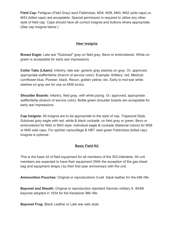**Field Cap:** Feldgrau (Field Gray) wool Feldmütze, M34, M38, M40, M42 (side caps) or, M43 (billed caps) are acceptable. Special permission is required to utilize any other style of field cap. Caps should have all correct insignia and buttons where appropriate. (See cap insignia below.)

## **Heer Insignia**

**Breast Eagle:** Late war "Subdued" gray on field gray. Bevo or embroidered. White on green is acceptable for early war impressions.

**Collar Tabs (Litzen):** Infantry, late war, generic gray slashes on gray. Or, approved, appropriate waffenfarbe (branch of service color). Example: Artillery; red, Medical; cornflower blue, Pioneer; black, Recon; golden yellow, etc. Early to mid-war white slashes on gray are for use on M36 tunics.

**Shoulder Boards:** Infantry, field gray, with white piping. Or, approved, appropriate waffenfarbe (branch of service color). Bottle green shoulder boards are acceptable for early war impressions.

**Cap Insignia:** All insignia are to be appropriate to the style of cap. Trapezoid Style, Subdued gray eagle with red, white & black cockade, on field gray or green, Bevo or embroidered for M42 or M43 style. Individual eagle & cockade (National colors) for M38 or M40 side caps. For splinter camouflage & HBT reed green Feldmütze (billed cap), insignia is optional.

# **Basic Field Kit**

This is the basic kit of field equipment for all members of the 353.Infanterie. All unit members are expected to have their equipment (With the exception of the gas sheet bag and equipment straps.) by their first year anniversary with the unit.

**Ammunition Pouches:** Original or reproductions 3-cell black leather for the k98 rifle

**Bayonet and Sheath:** Original or reproduction standard German military S. 84/98 bayonet adopted in 1934 for the Karabiner 98k rifle.

**Bayonet Frog:** Black Leather or Late war web style.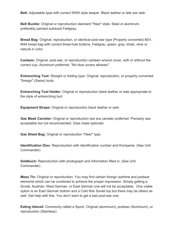**Belt:** Adjustable type with correct WWII style keeper. Black leather or late war web.

**Belt Buckle:** Original or reproduction standard "Heer" style. Steel or aluminum, preferably painted subdued Feldgrau.

**Bread Bag:** Original, reproduction, or identical post-war type (Properly converted) M31, M44 bread bag with correct three-hole buttons. Feldgrau, green, gray, khaki, olive or natural in color.

**Canteen:** Original, post-war, or reproduction canteen w/wool cover, with or without the correct cup. Aluminum preferred. "No blue covers allowed."

**Entrenching Tool:** Straight or folding type. Original, reproduction, or properly converted "foreign" (Swiss) tools.

**Entrenching Tool Holder:** Original or reproduction black leather or web appropriate to the style of entrenching tool.

**Equipment Straps:** Original or reproduction black leather or web.

**Gas Mask Canister:** Original or reproduction war era canister preferred. Pre/early war acceptable but not recommended. (Gas mask optional)

**Gas Sheet Bag:** Original or reproduction "Heer" type.

**Identification Disc:** Reproduction with identification number and Kompanie. (See Unit Commander)

**Soldbuch:** Reproduction with photograph and information filled in. (See Unit Commander)

**Mess Tin:** Original or reproduction. You may find certain foreign wartime and postwar elements which can be combined to achieve the proper impression. Simply getting a Soviet, Austrian, West German, or East German one will not be acceptable. One viable option is an East German bottom and a Cold War Soviet top but there may be others as well. Get help with this. You don't want to get a bad post-war one.

**Eating Utensil:** Commonly called a Spork. Original (aluminum), postwar (Aluminum), or reproduction (Stainless).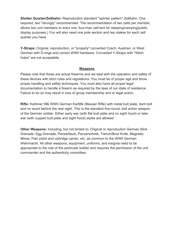**Shelter Quarter/Zeltbahn:** Reproduction standard "splinter pattern" Zeltbahn. One required, two "strongly" recommended. The recommendation of two zelts per member, allows two unit members to erect one, four-man zelt tent for sleeping/camping/public display purposes.) You will also need one pole section and two stakes for each zelt quarter you have.

**Y-Straps:** Original, reproduction, or "properly" converted Czech, Austrian, or West German with D-rings and correct WWII hardware. Converted Y-Straps with "Stitch holes" are not acceptable.

#### **Weapons**

Please note that these are actual firearms and we deal with the operation and safety of these devices with strict rules and regulations. You must be of proper age and show proper handling and safety techniques. You must also have all proper legal documentation to handle a firearm as required by the laws of our state of residence. Failure to do so may result in loss of group membership and or legal action.

**Rifle:** Karbiner 98k WWII German Kar98k (Mauser Rifle) with metal butt plate, bent bolt and no wood behind the rear sight. This is the standard five-round, bolt action weapon of the German soldier. Either early war (with flat butt plate and no sight hood) or later war (with cupped butt plate and sight hood) styles are allowed

**Other Weapons:** Including, but not limited to: Original or reproduction German Stick Grenade, Egg Grenade, Panzerfaust, Panzerschrek, Trench/Boot Knife, Magnetic Mines, Flair pistol and cartridge carrier, etc, as common to the WWII German Wehrmacht. All other weapons, equipment, uniforms, and insignia need to be appropriate to the role of the particular soldier and requires the permission of the unit commander and the authenticity committee.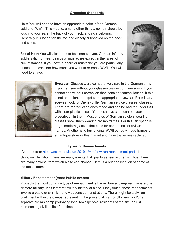# **Grooming Standards**

**Hair:** You will need to have an appropriate haircut for a German soldier of WWII. This means, among other things, no hair should be touching your ears, the back of your neck, and no sideburns. Generally it is longer on the top and closely cut/shaved on the back and sides.

**Facial Hair:** You will also need to be clean-shaven. German infantry soldiers did not wear beards or mustaches except in the rarest of circumstances. If you have a beard or mustache you are particularly attached to consider how much you want to re-enact WWII. You will need to shave.



**Eyewear:** Glasses were comparatively rare in the German army. If you can see without your glasses please put them away. If you cannot see without correction then consider contact lenses. If this is not an option, then get some appropriate eyewear. For military eyewear look for Dienst-brille (German service glasses) glasses. There are reproduction ones made and can be had for under \$30 with clear plastic lenses. Your local eye shop can put your prescription in them. Most photos of German soldiers wearing glasses show them wearing civilian frames. For this, an option is to get modern glasses that pass for period-correct civilian frames. Another is to buy original WWII period vintage frames at an antique store or flea market and have the lenses replaced.

#### **Types of Reenactments**

(Adapted from <https://exarc.net/issue-2019-1/mm/how-run-reenactment-part-1>) Using our definition, there are many events that qualify as reenactments. Thus, there are many options from which a site can choose. Here is a brief description of some of the most common.

# **Military Encampment (most Public events)**

Probably the most common type of reenactment is the military encampment, where one or more military units interpret military history at a site. Many times, these reenactments involve a battle or skirmish and weapons demonstrations. There might be a civilian contingent within the camps representing the proverbial "camp-followers" and/or a separate civilian camp portraying local townspeople, residents of the site, or just representing civilian life of the time.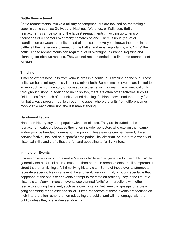#### **Battle Reenactment**

Battle reenactments involve a military encampment but are focused on recreating a specific battle such as Gettysburg, Hastings, Waterloo, or Kalkriese. Battle reenactments can be some of the largest reenactments, involving up to tens of thousands of reenactors over many hectares of land. There is usually a lot of coordination between the units ahead of time so that everyone knows their role in the battle, all the maneuvers planned for the battle, and most importantly, who "wins" the battle. These reenactments can require a lot of oversight, insurance, logistics and planning, for obvious reasons. They are not recommended as a first-time reenactment for sites.

#### **Timeline**

Timeline events host units from various eras in a contiguous timeline on the site. These units can be all military, all civilian, or a mix of both. Some timeline events are limited to an era such as 20th century or focused on a theme such as maritime or medical units throughout history. In addition to unit displays, there are often other activities such as field demos from each of the units, period dancing, fashion shows, and the purely for fun but always popular, "battle through the ages" where the units from different times mock-battle each other until the last man standing.

#### **Hands-on-History**

Hands-on-history days are popular with a lot of sites. They are included in the reenactment category because they often include reenactors who explain their camp and/or provide hands-on demos for the public. These events can be themed, like a harvest festival, focused on a specific time period like Victorian, or interpret a variety of historical skills and crafts that are fun and appealing to family visitors.

#### **Immersion Events**

Immersion events aim to present a "slice-of-life" type of experience for the public. While generally not as formal as true museum theater, these reenactments are like impromptu street theater or visiting a full-time living history site. Some of these events attempt to recreate a specific historical event like a funeral, wedding, trial, or public spectacle that happened at the site. Other events attempt to recreate an ordinary "day in the life" at a historic site. Many immersion events use planned "skits" or interactions with other reenactors during the event, such as a confrontation between two gossips or a press gang searching for an escaped sailor. Often reenactors at these events are focused on their interpretation rather than on educating the public, and will not engage with the public unless they are addressed directly.